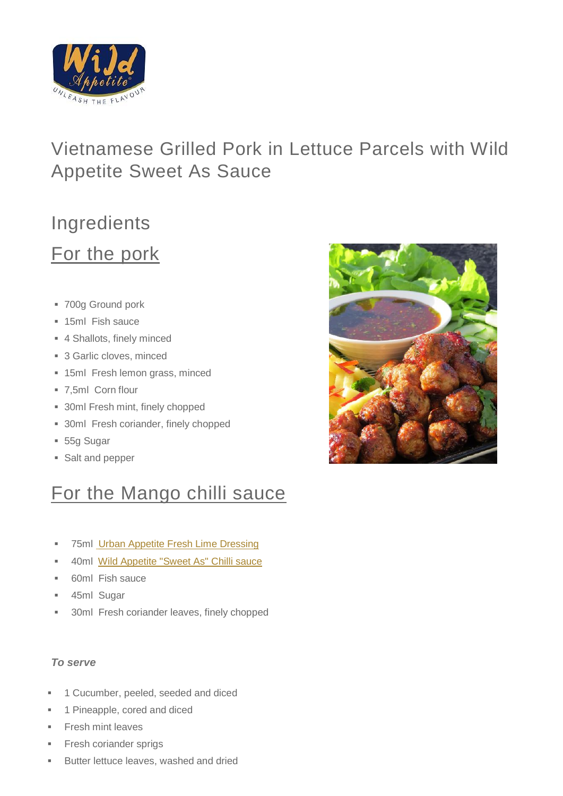

## Vietnamese Grilled Pork in Lettuce Parcels with Wild Appetite Sweet As Sauce

# Ingredients For the pork

- 700g Ground pork
- **15ml Fish sauce**
- 4 Shallots, finely minced
- 3 Garlic cloves, minced
- **15ml Fresh lemon grass, minced**
- 7,5ml Corn flour
- **30ml Fresh mint, finely chopped**
- **30ml Fresh coriander, finely chopped**
- 55g Sugar
- Salt and pepper

# For the Mango chilli sauce

- **75ml** [Urban Appetite Fresh Lime Dressing](https://secure.zeald.com/wildappetite/shop/Products%20%26%20Shop/Urban%20Appetite/Dressings/fresh_lime_dressing?sku=00972&mv_pc=181876)
- 40ml Wild Appetite ["Sweet As" Chilli sauce](https://secure.zeald.com/wildappetite/error404?mv_pc=181878)
- 60ml Fish sauce
- **45ml Sugar**
- **30ml Fresh coriander leaves, finely chopped**

#### *To serve*

- 1 Cucumber, peeled, seeded and diced
- 1 Pineapple, cored and diced
- Fresh mint leaves
- Fresh coriander sprigs
- **Butter lettuce leaves, washed and dried**